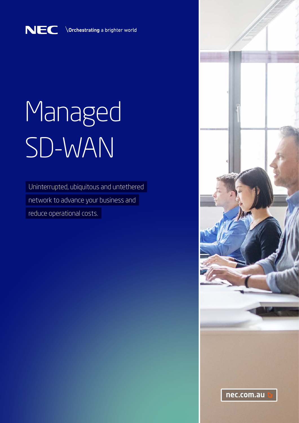

# Managed SD-WAN

Uninterrupted, ubiquitous and untethered

network to advance your business and

reduce operational costs.

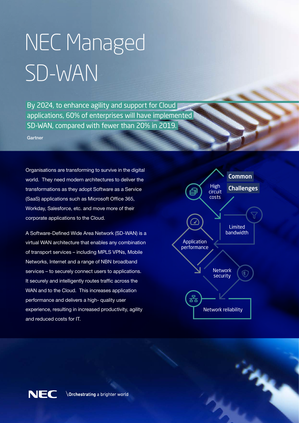# NEC Managed SD-WAN

By 2024, to enhance agility and support for Cloud applications, 60% of enterprises will have implemented SD-WAN, compared with fewer than 20% in 2019.

Gartner

Organisations are transforming to survive in the digital world. They need modern architectures to deliver the transformations as they adopt Software as a Service (SaaS) applications such as Microsoft Office 365, Workday, Salesforce, etc. and move more of their corporate applications to the Cloud.

A Software-Defined Wide Area Network (SD-WAN) is a virtual WAN architecture that enables any combination of transport services – including MPLS VPNs, Mobile Networks, Internet and a range of NBN broadband services – to securely connect users to applications. It securely and intelligently routes traffic across the WAN and to the Cloud. This increases application performance and delivers a high- quality user experience, resulting in increased productivity, agility and reduced costs for IT.



**CANA** 

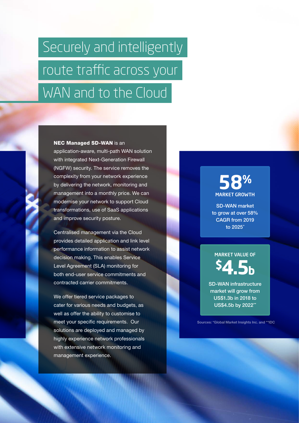## Securely and intelligently route traffic across your WAN and to the Cloud

#### NEC Managed SD-WAN is an

application-aware, multi-path WAN solution with integrated Next-Generation Firewall (NGFW) security. The service removes the complexity from your network experience by delivering the network, monitoring and management into a monthly price. We can modernise your network to support Cloud transformations, use of SaaS applications and improve security posture.

Centralised management via the Cloud provides detailed application and link level performance information to assist network decision making. This enables Service Level Agreement (SLA) monitoring for both end-user service commitments and contracted carrier commitments.

We offer tiered service packages to cater for various needs and budgets, as well as offer the ability to customise to meet your specific requirements. Our solutions are deployed and managed by highly experience network professionals with extensive network monitoring and management experience.

## **58%** MARKET GROWTH

SD-WAN market to grow at over 58% CAGR from 2019 to 2025\*

## MARKET VALUE OF **\$4.5b**

SD-WAN infrastructure market will grow from US\$1.3b in 2018 to US\$4.5b by 2022\*\*

Sources: \*Global Market Insights Inc. and \*\*IDC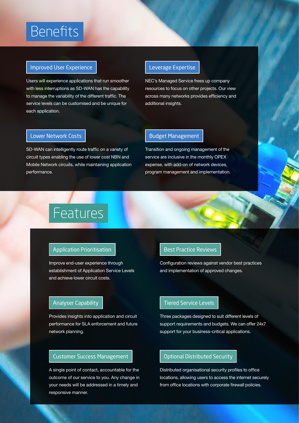## **Benefits**

#### Improved User Experience

Users will experience applications that run smoother with less interruptions as SD-WAN has the capability to manage the variability of the different traffic. The service levels can be customised and be unique for each application.

#### Leverage Expertise

NEC's Managed Service frees up company resources to focus on other projects. Our view across many networks provides efficiency and additional insights.

#### Lower Network Costs

SD-WAN can intelligently route traffic on a variety of circuit types enabling the use of lower cost NBN and Mobile Network circuits, while maintaining application performance.

#### Budget Management

Transition and ongoing management of the service are inclusive in the monthly OPEX expense, with add-on of network devices, program management and implementation.

## Features

#### Application Prioritisation

Improve end-user experience through establishment of Application Service Levels and achieve lower circuit costs.

#### Analyser Capability

Provides insights into application and circuit performance for SLA enforcement and future network planning.

#### Customer Success Management

A single point of contact, accountable for the outcome of our service to you. Any change in your needs will be addressed in a timely and responsive manner.

#### Best Practice Reviews

Configuration reviews against vendor best practices and implementation of approved changes.

#### Tiered Service Levels

Three packages designed to suit different levels of support requirements and budgets. We can offer 24x7 support for your business-critical applications.

#### Optional Distributed Security

Distributed organisational security profiles to office locations, allowing users to access the internet securely from office locations with corporate firewall policies.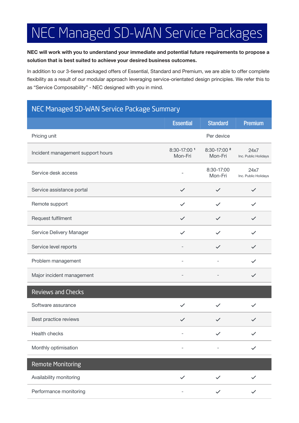## NEC Managed SD-WAN Service Packages

#### NEC will work with you to understand your immediate and potential future requirements to propose a solution that is best suited to achieve your desired business outcomes.

In addition to our 3-tiered packaged offers of Essential, Standard and Premium, we are able to offer complete flexibility as a result of our modular approach leveraging service-orientated design principles. We refer this to as "Service Composability" - NEC designed with you in mind.

### NEC Managed SD-WAN Service Package Summary

|                                   | <b>Essential</b>         | <b>Standard</b>                    | <b>Premium</b>               |
|-----------------------------------|--------------------------|------------------------------------|------------------------------|
| Pricing unit                      |                          | Per device                         |                              |
| Incident management support hours | 8:30-17:00 1<br>Mon-Fri  | 8:30-17:00 <sup>2</sup><br>Mon-Fri | 24x7<br>Inc. Public Holidays |
| Service desk access               |                          | 8:30-17:00<br>Mon-Fri              | 24x7<br>Inc. Public Holidays |
| Service assistance portal         | $\checkmark$             | $\checkmark$                       | $\checkmark$                 |
| Remote support                    | $\checkmark$             | $\checkmark$                       |                              |
| Request fulfilment                | $\checkmark$             | $\checkmark$                       | $\checkmark$                 |
| Service Delivery Manager          | $\checkmark$             | $\checkmark$                       | $\checkmark$                 |
| Service level reports             |                          | $\checkmark$                       |                              |
| Problem management                |                          |                                    | ✓                            |
| Major incident management         | $\overline{\phantom{0}}$ |                                    | $\checkmark$                 |
| <b>Reviews and Checks</b>         |                          |                                    |                              |
| Software assurance                | $\checkmark$             | $\checkmark$                       | $\checkmark$                 |
| Best practice reviews             | $\checkmark$             | $\checkmark$                       |                              |
| <b>Health checks</b>              |                          |                                    |                              |
| Monthly optimisation              |                          |                                    |                              |
| <b>Remote Monitoring</b>          |                          |                                    |                              |
| Availability monitoring           | $\checkmark$             | $\checkmark$                       |                              |
| Performance monitoring            |                          | $\checkmark$                       |                              |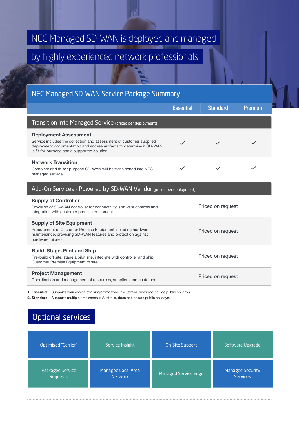## NEC Managed SD-WAN is deployed and managed

## by highly experienced network professionals

#### NEC Managed SD-WAN Service Package Summary

|                                                                                                                                                                                                                             | <b>Essential</b>  | <b>Standard</b>   | <b>Premium</b> |
|-----------------------------------------------------------------------------------------------------------------------------------------------------------------------------------------------------------------------------|-------------------|-------------------|----------------|
| Transition into Managed Service (priced per deployment)                                                                                                                                                                     |                   |                   |                |
| <b>Deployment Assessment</b><br>Service includes the collection and assessment of customer supplied<br>deployment documentation and access artifacts to determine if SD-WAN<br>is fit-for-purpose and a supported solution. |                   | $\checkmark$      |                |
| <b>Network Transition</b><br>Complete and fit-for-purpose SD-WAN will be transitioned into NEC<br>managed service.                                                                                                          |                   | $\checkmark$      |                |
| Add-On Services - Powered by SD-WAN Vendor (priced per deployment)                                                                                                                                                          |                   |                   |                |
| <b>Supply of Controller</b><br>Provision of SD-WAN controller for connectivity, software controls and<br>integration with customer premise equipment.                                                                       | Priced on request |                   |                |
| <b>Supply of Site Equipment</b>                                                                                                                                                                                             |                   |                   |                |
| Procurement of Customer Premise Equipment including hardware<br>maintenance, providing SD-WAN features and protection against<br>hardware failures.                                                                         | Priced on request |                   |                |
| <b>Build, Stage-Pilot and Ship</b>                                                                                                                                                                                          |                   | Priced on request |                |

Customer Premise Equipment to site.

Project Management

Project management<br>Coordination and management of resources, suppliers and customer.<br>
Priced on request

1. Essential: Supports your choice of a single time zone in Australia, does not include public holidays.

2. Standard: Supports multiple time zones in Australia, does not include public holidays.

### Optional services

| Optimised "Carrier" | Service Insight    | <b>On-Site Support</b>      | Software Upgrade |
|---------------------|--------------------|-----------------------------|------------------|
| Packaged Service    | Managed Local Area | <b>Managed Service Edge</b> | Managed Security |
| <b>Requests</b>     | <b>Network</b>     |                             | <b>Services</b>  |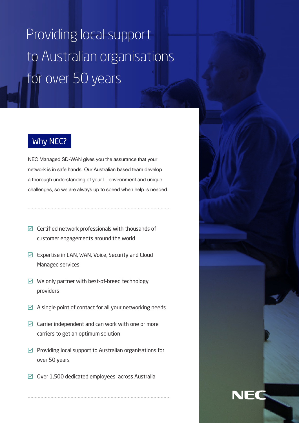## Providing local support to Australian organisations for over 50 years

### Why NEC?

NEC Managed SD-WAN gives you the assurance that your network is in safe hands. Our Australian based team develop a thorough understanding of your IT environment and unique challenges, so we are always up to speed when help is needed.

 $\boxdot$  Certified network professionals with thousands of customer engagements around the world

- $\boxdot$  Expertise in LAN, WAN, Voice, Security and Cloud Managed services
- $\boxdot$  We only partner with best-of-breed technology providers
- $\boxtimes$  A single point of contact for all your networking needs
- $\boxdot$  Carrier independent and can work with one or more carriers to get an optimum solution
- $\triangleright$  Providing local support to Australian organisations for over 50 years
- $\boxdot$  Over 1,500 dedicated employees across Australia